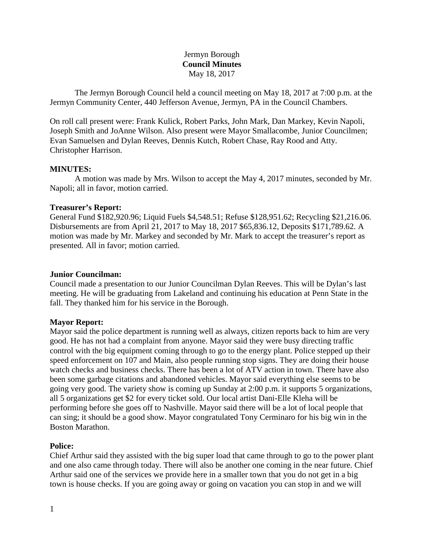# Jermyn Borough **Council Minutes** May 18, 2017

The Jermyn Borough Council held a council meeting on May 18, 2017 at 7:00 p.m. at the Jermyn Community Center, 440 Jefferson Avenue, Jermyn, PA in the Council Chambers.

On roll call present were: Frank Kulick, Robert Parks, John Mark, Dan Markey, Kevin Napoli, Joseph Smith and JoAnne Wilson. Also present were Mayor Smallacombe, Junior Councilmen; Evan Samuelsen and Dylan Reeves, Dennis Kutch, Robert Chase, Ray Rood and Atty. Christopher Harrison.

#### **MINUTES:**

A motion was made by Mrs. Wilson to accept the May 4, 2017 minutes, seconded by Mr. Napoli; all in favor, motion carried.

#### **Treasurer's Report:**

General Fund \$182,920.96; Liquid Fuels \$4,548.51; Refuse \$128,951.62; Recycling \$21,216.06. Disbursements are from April 21, 2017 to May 18, 2017 \$65,836.12, Deposits \$171,789.62. A motion was made by Mr. Markey and seconded by Mr. Mark to accept the treasurer's report as presented. All in favor; motion carried.

#### **Junior Councilman:**

Council made a presentation to our Junior Councilman Dylan Reeves. This will be Dylan's last meeting. He will be graduating from Lakeland and continuing his education at Penn State in the fall. They thanked him for his service in the Borough.

#### **Mayor Report:**

Mayor said the police department is running well as always, citizen reports back to him are very good. He has not had a complaint from anyone. Mayor said they were busy directing traffic control with the big equipment coming through to go to the energy plant. Police stepped up their speed enforcement on 107 and Main, also people running stop signs. They are doing their house watch checks and business checks. There has been a lot of ATV action in town. There have also been some garbage citations and abandoned vehicles. Mayor said everything else seems to be going very good. The variety show is coming up Sunday at 2:00 p.m. it supports 5 organizations, all 5 organizations get \$2 for every ticket sold. Our local artist Dani-Elle Kleha will be performing before she goes off to Nashville. Mayor said there will be a lot of local people that can sing; it should be a good show. Mayor congratulated Tony Cerminaro for his big win in the Boston Marathon.

## **Police:**

Chief Arthur said they assisted with the big super load that came through to go to the power plant and one also came through today. There will also be another one coming in the near future. Chief Arthur said one of the services we provide here in a smaller town that you do not get in a big town is house checks. If you are going away or going on vacation you can stop in and we will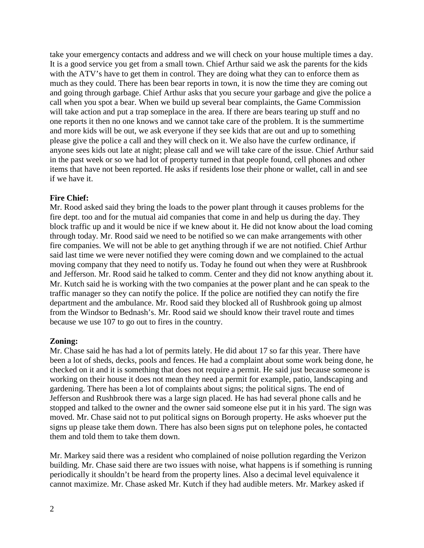take your emergency contacts and address and we will check on your house multiple times a day. It is a good service you get from a small town. Chief Arthur said we ask the parents for the kids with the ATV's have to get them in control. They are doing what they can to enforce them as much as they could. There has been bear reports in town, it is now the time they are coming out and going through garbage. Chief Arthur asks that you secure your garbage and give the police a call when you spot a bear. When we build up several bear complaints, the Game Commission will take action and put a trap someplace in the area. If there are bears tearing up stuff and no one reports it then no one knows and we cannot take care of the problem. It is the summertime and more kids will be out, we ask everyone if they see kids that are out and up to something please give the police a call and they will check on it. We also have the curfew ordinance, if anyone sees kids out late at night; please call and we will take care of the issue. Chief Arthur said in the past week or so we had lot of property turned in that people found, cell phones and other items that have not been reported. He asks if residents lose their phone or wallet, call in and see if we have it.

# **Fire Chief:**

Mr. Rood asked said they bring the loads to the power plant through it causes problems for the fire dept. too and for the mutual aid companies that come in and help us during the day. They block traffic up and it would be nice if we knew about it. He did not know about the load coming through today. Mr. Rood said we need to be notified so we can make arrangements with other fire companies. We will not be able to get anything through if we are not notified. Chief Arthur said last time we were never notified they were coming down and we complained to the actual moving company that they need to notify us. Today he found out when they were at Rushbrook and Jefferson. Mr. Rood said he talked to comm. Center and they did not know anything about it. Mr. Kutch said he is working with the two companies at the power plant and he can speak to the traffic manager so they can notify the police. If the police are notified they can notify the fire department and the ambulance. Mr. Rood said they blocked all of Rushbrook going up almost from the Windsor to Bednash's. Mr. Rood said we should know their travel route and times because we use 107 to go out to fires in the country.

## **Zoning:**

Mr. Chase said he has had a lot of permits lately. He did about 17 so far this year. There have been a lot of sheds, decks, pools and fences. He had a complaint about some work being done, he checked on it and it is something that does not require a permit. He said just because someone is working on their house it does not mean they need a permit for example, patio, landscaping and gardening. There has been a lot of complaints about signs; the political signs. The end of Jefferson and Rushbrook there was a large sign placed. He has had several phone calls and he stopped and talked to the owner and the owner said someone else put it in his yard. The sign was moved. Mr. Chase said not to put political signs on Borough property. He asks whoever put the signs up please take them down. There has also been signs put on telephone poles, he contacted them and told them to take them down.

Mr. Markey said there was a resident who complained of noise pollution regarding the Verizon building. Mr. Chase said there are two issues with noise, what happens is if something is running periodically it shouldn't be heard from the property lines. Also a decimal level equivalence it cannot maximize. Mr. Chase asked Mr. Kutch if they had audible meters. Mr. Markey asked if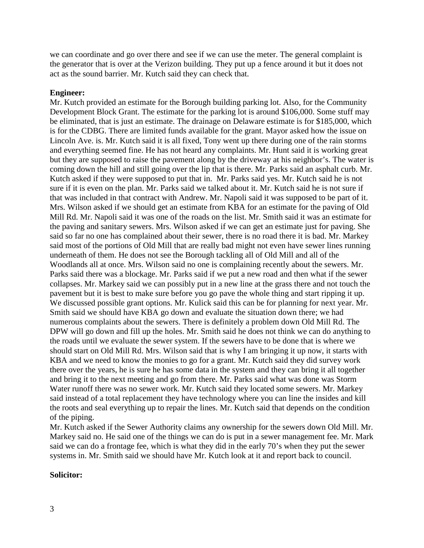we can coordinate and go over there and see if we can use the meter. The general complaint is the generator that is over at the Verizon building. They put up a fence around it but it does not act as the sound barrier. Mr. Kutch said they can check that.

#### **Engineer:**

Mr. Kutch provided an estimate for the Borough building parking lot. Also, for the Community Development Block Grant. The estimate for the parking lot is around \$106,000. Some stuff may be eliminated, that is just an estimate. The drainage on Delaware estimate is for \$185,000, which is for the CDBG. There are limited funds available for the grant. Mayor asked how the issue on Lincoln Ave. is. Mr. Kutch said it is all fixed, Tony went up there during one of the rain storms and everything seemed fine. He has not heard any complaints. Mr. Hunt said it is working great but they are supposed to raise the pavement along by the driveway at his neighbor's. The water is coming down the hill and still going over the lip that is there. Mr. Parks said an asphalt curb. Mr. Kutch asked if they were supposed to put that in. Mr. Parks said yes. Mr. Kutch said he is not sure if it is even on the plan. Mr. Parks said we talked about it. Mr. Kutch said he is not sure if that was included in that contract with Andrew. Mr. Napoli said it was supposed to be part of it. Mrs. Wilson asked if we should get an estimate from KBA for an estimate for the paving of Old Mill Rd. Mr. Napoli said it was one of the roads on the list. Mr. Smith said it was an estimate for the paving and sanitary sewers. Mrs. Wilson asked if we can get an estimate just for paving. She said so far no one has complained about their sewer, there is no road there it is bad. Mr. Markey said most of the portions of Old Mill that are really bad might not even have sewer lines running underneath of them. He does not see the Borough tackling all of Old Mill and all of the Woodlands all at once. Mrs. Wilson said no one is complaining recently about the sewers. Mr. Parks said there was a blockage. Mr. Parks said if we put a new road and then what if the sewer collapses. Mr. Markey said we can possibly put in a new line at the grass there and not touch the pavement but it is best to make sure before you go pave the whole thing and start ripping it up. We discussed possible grant options. Mr. Kulick said this can be for planning for next year. Mr. Smith said we should have KBA go down and evaluate the situation down there; we had numerous complaints about the sewers. There is definitely a problem down Old Mill Rd. The DPW will go down and fill up the holes. Mr. Smith said he does not think we can do anything to the roads until we evaluate the sewer system. If the sewers have to be done that is where we should start on Old Mill Rd. Mrs. Wilson said that is why I am bringing it up now, it starts with KBA and we need to know the monies to go for a grant. Mr. Kutch said they did survey work there over the years, he is sure he has some data in the system and they can bring it all together and bring it to the next meeting and go from there. Mr. Parks said what was done was Storm Water runoff there was no sewer work. Mr. Kutch said they located some sewers. Mr. Markey said instead of a total replacement they have technology where you can line the insides and kill the roots and seal everything up to repair the lines. Mr. Kutch said that depends on the condition of the piping.

Mr. Kutch asked if the Sewer Authority claims any ownership for the sewers down Old Mill. Mr. Markey said no. He said one of the things we can do is put in a sewer management fee. Mr. Mark said we can do a frontage fee, which is what they did in the early 70's when they put the sewer systems in. Mr. Smith said we should have Mr. Kutch look at it and report back to council.

#### **Solicitor:**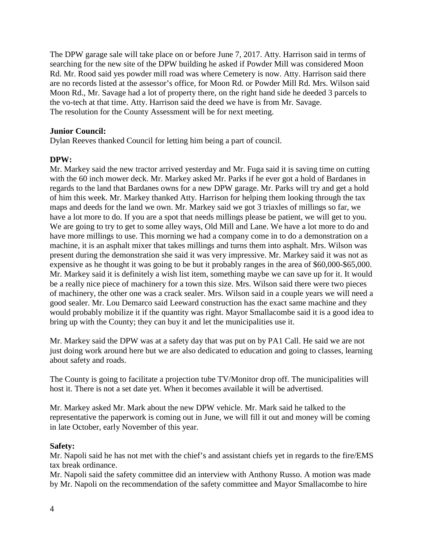The DPW garage sale will take place on or before June 7, 2017. Atty. Harrison said in terms of searching for the new site of the DPW building he asked if Powder Mill was considered Moon Rd. Mr. Rood said yes powder mill road was where Cemetery is now. Atty. Harrison said there are no records listed at the assessor's office, for Moon Rd. or Powder Mill Rd. Mrs. Wilson said Moon Rd., Mr. Savage had a lot of property there, on the right hand side he deeded 3 parcels to the vo-tech at that time. Atty. Harrison said the deed we have is from Mr. Savage. The resolution for the County Assessment will be for next meeting.

## **Junior Council:**

Dylan Reeves thanked Council for letting him being a part of council.

# **DPW:**

Mr. Markey said the new tractor arrived yesterday and Mr. Fuga said it is saving time on cutting with the 60 inch mower deck. Mr. Markey asked Mr. Parks if he ever got a hold of Bardanes in regards to the land that Bardanes owns for a new DPW garage. Mr. Parks will try and get a hold of him this week. Mr. Markey thanked Atty. Harrison for helping them looking through the tax maps and deeds for the land we own. Mr. Markey said we got 3 triaxles of millings so far, we have a lot more to do. If you are a spot that needs millings please be patient, we will get to you. We are going to try to get to some alley ways, Old Mill and Lane. We have a lot more to do and have more millings to use. This morning we had a company come in to do a demonstration on a machine, it is an asphalt mixer that takes millings and turns them into asphalt. Mrs. Wilson was present during the demonstration she said it was very impressive. Mr. Markey said it was not as expensive as he thought it was going to be but it probably ranges in the area of \$60,000-\$65,000. Mr. Markey said it is definitely a wish list item, something maybe we can save up for it. It would be a really nice piece of machinery for a town this size. Mrs. Wilson said there were two pieces of machinery, the other one was a crack sealer. Mrs. Wilson said in a couple years we will need a good sealer. Mr. Lou Demarco said Leeward construction has the exact same machine and they would probably mobilize it if the quantity was right. Mayor Smallacombe said it is a good idea to bring up with the County; they can buy it and let the municipalities use it.

Mr. Markey said the DPW was at a safety day that was put on by PA1 Call. He said we are not just doing work around here but we are also dedicated to education and going to classes, learning about safety and roads.

The County is going to facilitate a projection tube TV/Monitor drop off. The municipalities will host it. There is not a set date yet. When it becomes available it will be advertised.

Mr. Markey asked Mr. Mark about the new DPW vehicle. Mr. Mark said he talked to the representative the paperwork is coming out in June, we will fill it out and money will be coming in late October, early November of this year.

## **Safety:**

Mr. Napoli said he has not met with the chief's and assistant chiefs yet in regards to the fire/EMS tax break ordinance.

Mr. Napoli said the safety committee did an interview with Anthony Russo. A motion was made by Mr. Napoli on the recommendation of the safety committee and Mayor Smallacombe to hire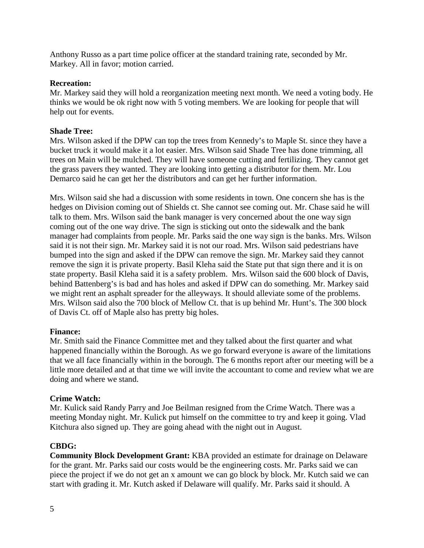Anthony Russo as a part time police officer at the standard training rate, seconded by Mr. Markey. All in favor; motion carried.

## **Recreation:**

Mr. Markey said they will hold a reorganization meeting next month. We need a voting body. He thinks we would be ok right now with 5 voting members. We are looking for people that will help out for events.

#### **Shade Tree:**

Mrs. Wilson asked if the DPW can top the trees from Kennedy's to Maple St. since they have a bucket truck it would make it a lot easier. Mrs. Wilson said Shade Tree has done trimming, all trees on Main will be mulched. They will have someone cutting and fertilizing. They cannot get the grass pavers they wanted. They are looking into getting a distributor for them. Mr. Lou Demarco said he can get her the distributors and can get her further information.

Mrs. Wilson said she had a discussion with some residents in town. One concern she has is the hedges on Division coming out of Shields ct. She cannot see coming out. Mr. Chase said he will talk to them. Mrs. Wilson said the bank manager is very concerned about the one way sign coming out of the one way drive. The sign is sticking out onto the sidewalk and the bank manager had complaints from people. Mr. Parks said the one way sign is the banks. Mrs. Wilson said it is not their sign. Mr. Markey said it is not our road. Mrs. Wilson said pedestrians have bumped into the sign and asked if the DPW can remove the sign. Mr. Markey said they cannot remove the sign it is private property. Basil Kleha said the State put that sign there and it is on state property. Basil Kleha said it is a safety problem. Mrs. Wilson said the 600 block of Davis, behind Battenberg's is bad and has holes and asked if DPW can do something. Mr. Markey said we might rent an asphalt spreader for the alleyways. It should alleviate some of the problems. Mrs. Wilson said also the 700 block of Mellow Ct. that is up behind Mr. Hunt's. The 300 block of Davis Ct. off of Maple also has pretty big holes.

## **Finance:**

Mr. Smith said the Finance Committee met and they talked about the first quarter and what happened financially within the Borough. As we go forward everyone is aware of the limitations that we all face financially within in the borough. The 6 months report after our meeting will be a little more detailed and at that time we will invite the accountant to come and review what we are doing and where we stand.

## **Crime Watch:**

Mr. Kulick said Randy Parry and Joe Beilman resigned from the Crime Watch. There was a meeting Monday night. Mr. Kulick put himself on the committee to try and keep it going. Vlad Kitchura also signed up. They are going ahead with the night out in August.

## **CBDG:**

**Community Block Development Grant:** KBA provided an estimate for drainage on Delaware for the grant. Mr. Parks said our costs would be the engineering costs. Mr. Parks said we can piece the project if we do not get an x amount we can go block by block. Mr. Kutch said we can start with grading it. Mr. Kutch asked if Delaware will qualify. Mr. Parks said it should. A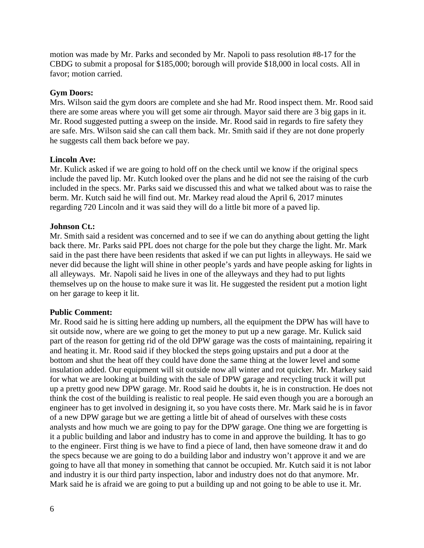motion was made by Mr. Parks and seconded by Mr. Napoli to pass resolution #8-17 for the CBDG to submit a proposal for \$185,000; borough will provide \$18,000 in local costs. All in favor; motion carried.

## **Gym Doors:**

Mrs. Wilson said the gym doors are complete and she had Mr. Rood inspect them. Mr. Rood said there are some areas where you will get some air through. Mayor said there are 3 big gaps in it. Mr. Rood suggested putting a sweep on the inside. Mr. Rood said in regards to fire safety they are safe. Mrs. Wilson said she can call them back. Mr. Smith said if they are not done properly he suggests call them back before we pay.

# **Lincoln Ave:**

Mr. Kulick asked if we are going to hold off on the check until we know if the original specs include the paved lip. Mr. Kutch looked over the plans and he did not see the raising of the curb included in the specs. Mr. Parks said we discussed this and what we talked about was to raise the berm. Mr. Kutch said he will find out. Mr. Markey read aloud the April 6, 2017 minutes regarding 720 Lincoln and it was said they will do a little bit more of a paved lip.

# **Johnson Ct.:**

Mr. Smith said a resident was concerned and to see if we can do anything about getting the light back there. Mr. Parks said PPL does not charge for the pole but they charge the light. Mr. Mark said in the past there have been residents that asked if we can put lights in alleyways. He said we never did because the light will shine in other people's yards and have people asking for lights in all alleyways. Mr. Napoli said he lives in one of the alleyways and they had to put lights themselves up on the house to make sure it was lit. He suggested the resident put a motion light on her garage to keep it lit.

## **Public Comment:**

Mr. Rood said he is sitting here adding up numbers, all the equipment the DPW has will have to sit outside now, where are we going to get the money to put up a new garage. Mr. Kulick said part of the reason for getting rid of the old DPW garage was the costs of maintaining, repairing it and heating it. Mr. Rood said if they blocked the steps going upstairs and put a door at the bottom and shut the heat off they could have done the same thing at the lower level and some insulation added. Our equipment will sit outside now all winter and rot quicker. Mr. Markey said for what we are looking at building with the sale of DPW garage and recycling truck it will put up a pretty good new DPW garage. Mr. Rood said he doubts it, he is in construction. He does not think the cost of the building is realistic to real people. He said even though you are a borough an engineer has to get involved in designing it, so you have costs there. Mr. Mark said he is in favor of a new DPW garage but we are getting a little bit of ahead of ourselves with these costs analysts and how much we are going to pay for the DPW garage. One thing we are forgetting is it a public building and labor and industry has to come in and approve the building. It has to go to the engineer. First thing is we have to find a piece of land, then have someone draw it and do the specs because we are going to do a building labor and industry won't approve it and we are going to have all that money in something that cannot be occupied. Mr. Kutch said it is not labor and industry it is our third party inspection, labor and industry does not do that anymore. Mr. Mark said he is afraid we are going to put a building up and not going to be able to use it. Mr.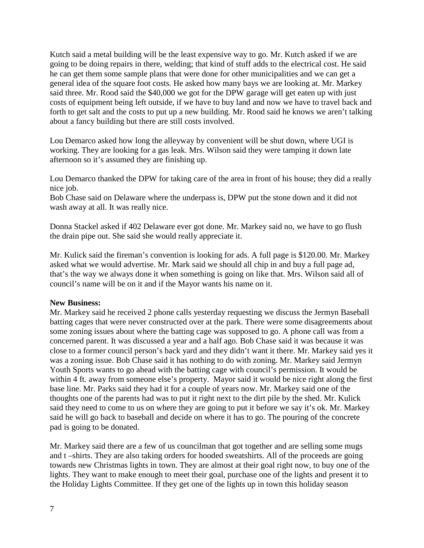Kutch said a metal building will be the least expensive way to go. Mr. Kutch asked if we are going to be doing repairs in there, welding; that kind of stuff adds to the electrical cost. He said he can get them some sample plans that were done for other municipalities and we can get a general idea of the square foot costs. He asked how many bays we are looking at. Mr. Markey said three. Mr. Rood said the \$40,000 we got for the DPW garage will get eaten up with just costs of equipment being left outside, if we have to buy land and now we have to travel back and forth to get salt and the costs to put up a new building. Mr. Rood said he knows we aren't talking about a fancy building but there are still costs involved.

Lou Demarco asked how long the alleyway by convenient will be shut down, where UGI is working. They are looking for a gas leak. Mrs. Wilson said they were tamping it down late afternoon so it's assumed they are finishing up.

Lou Demarco thanked the DPW for taking care of the area in front of his house; they did a really nice job.

Bob Chase said on Delaware where the underpass is, DPW put the stone down and it did not wash away at all. It was really nice.

Donna Stackel asked if 402 Delaware ever got done. Mr. Markey said no, we have to go flush the drain pipe out. She said she would really appreciate it.

Mr. Kulick said the fireman's convention is looking for ads. A full page is \$120.00. Mr. Markey asked what we would advertise. Mr. Mark said we should all chip in and buy a full page ad, that's the way we always done it when something is going on like that. Mrs. Wilson said all of council's name will be on it and if the Mayor wants his name on it.

## **New Business:**

Mr. Markey said he received 2 phone calls yesterday requesting we discuss the Jermyn Baseball batting cages that were never constructed over at the park. There were some disagreements about some zoning issues about where the batting cage was supposed to go. A phone call was from a concerned parent. It was discussed a year and a half ago. Bob Chase said it was because it was close to a former council person's back yard and they didn't want it there. Mr. Markey said yes it was a zoning issue. Bob Chase said it has nothing to do with zoning. Mr. Markey said Jermyn Youth Sports wants to go ahead with the batting cage with council's permission. It would be within 4 ft. away from someone else's property. Mayor said it would be nice right along the first base line. Mr. Parks said they had it for a couple of years now. Mr. Markey said one of the thoughts one of the parents had was to put it right next to the dirt pile by the shed. Mr. Kulick said they need to come to us on where they are going to put it before we say it's ok. Mr. Markey said he will go back to baseball and decide on where it has to go. The pouring of the concrete pad is going to be donated.

Mr. Markey said there are a few of us councilman that got together and are selling some mugs and t –shirts. They are also taking orders for hooded sweatshirts. All of the proceeds are going towards new Christmas lights in town. They are almost at their goal right now, to buy one of the lights. They want to make enough to meet their goal, purchase one of the lights and present it to the Holiday Lights Committee. If they get one of the lights up in town this holiday season